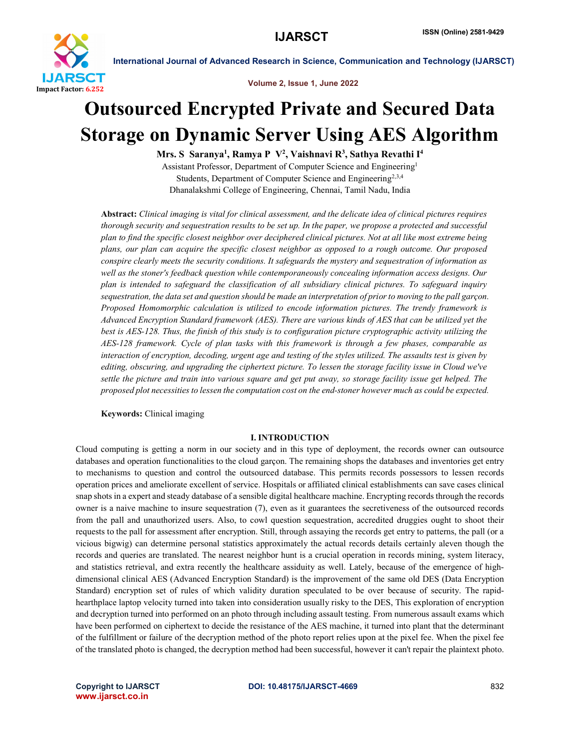

Volume 2, Issue 1, June 2022

## Outsourced Encrypted Private and Secured Data Storage on Dynamic Server Using AES Algorithm

Mrs. S Saranya<sup>1</sup>, Ramya P V<sup>2</sup>, Vaishnavi R<sup>3</sup>, Sathya Revathi I<sup>4</sup>

Assistant Professor, Department of Computer Science and Engineering1 Students, Department of Computer Science and Engineering<sup>2,3,4</sup> Dhanalakshmi College of Engineering, Chennai, Tamil Nadu, India

Abstract: *Clinical imaging is vital for clinical assessment, and the delicate idea of clinical pictures requires thorough security and sequestration results to be set up. In the paper, we propose a protected and successful plan to find the specific closest neighbor over deciphered clinical pictures. Not at all like most extreme being plans, our plan can acquire the specific closest neighbor as opposed to a rough outcome. Our proposed conspire clearly meets the security conditions. It safeguards the mystery and sequestration of information as well as the stoner's feedback question while contemporaneously concealing information access designs. Our plan is intended to safeguard the classification of all subsidiary clinical pictures. To safeguard inquiry sequestration, the data set and question should be made an interpretation of prior to moving to the pall garçon. Proposed Homomorphic calculation is utilized to encode information pictures. The trendy framework is Advanced Encryption Standard framework (AES). There are various kinds of AES that can be utilized yet the best is AES-128. Thus, the finish of this study is to configuration picture cryptographic activity utilizing the AES-128 framework. Cycle of plan tasks with this framework is through a few phases, comparable as interaction of encryption, decoding, urgent age and testing of the styles utilized. The assaults test is given by editing, obscuring, and upgrading the ciphertext picture. To lessen the storage facility issue in Cloud we've settle the picture and train into various square and get put away, so storage facility issue get helped. The proposed plot necessities to lessen the computation cost on the end-stoner however much as could be expected.*

Keywords: Clinical imaging

### I. INTRODUCTION

Cloud computing is getting a norm in our society and in this type of deployment, the records owner can outsource databases and operation functionalities to the cloud garçon. The remaining shops the databases and inventories get entry to mechanisms to question and control the outsourced database. This permits records possessors to lessen records operation prices and ameliorate excellent of service. Hospitals or affiliated clinical establishments can save cases clinical snap shots in a expert and steady database of a sensible digital healthcare machine. Encrypting records through the records owner is a naive machine to insure sequestration (7), even as it guarantees the secretiveness of the outsourced records from the pall and unauthorized users. Also, to cowl question sequestration, accredited druggies ought to shoot their requests to the pall for assessment after encryption. Still, through assaying the records get entry to patterns, the pall (or a vicious bigwig) can determine personal statistics approximately the actual records details certainly aleven though the records and queries are translated. The nearest neighbor hunt is a crucial operation in records mining, system literacy, and statistics retrieval, and extra recently the healthcare assiduity as well. Lately, because of the emergence of highdimensional clinical AES (Advanced Encryption Standard) is the improvement of the same old DES (Data Encryption Standard) encryption set of rules of which validity duration speculated to be over because of security. The rapidhearthplace laptop velocity turned into taken into consideration usually risky to the DES, This exploration of encryption and decryption turned into performed on an photo through including assault testing. From numerous assault exams which have been performed on ciphertext to decide the resistance of the AES machine, it turned into plant that the determinant of the fulfillment or failure of the decryption method of the photo report relies upon at the pixel fee. When the pixel fee of the translated photo is changed, the decryption method had been successful, however it can't repair the plaintext photo.

www.ijarsct.co.in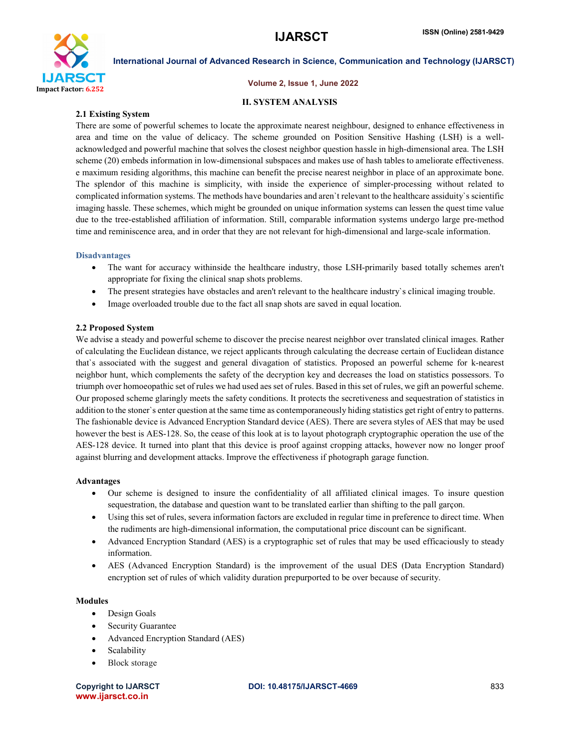

### Volume 2, Issue 1, June 2022

### II. SYSTEM ANALYSIS

### 2.1 Existing System

There are some of powerful schemes to locate the approximate nearest neighbour, designed to enhance effectiveness in area and time on the value of delicacy. The scheme grounded on Position Sensitive Hashing (LSH) is a wellacknowledged and powerful machine that solves the closest neighbor question hassle in high-dimensional area. The LSH scheme (20) embeds information in low-dimensional subspaces and makes use of hash tables to ameliorate effectiveness. e maximum residing algorithms, this machine can benefit the precise nearest neighbor in place of an approximate bone. The splendor of this machine is simplicity, with inside the experience of simpler-processing without related to complicated information systems. The methods have boundaries and aren`t relevant to the healthcare assiduity`s scientific imaging hassle. These schemes, which might be grounded on unique information systems can lessen the quest time value due to the tree-established affiliation of information. Still, comparable information systems undergo large pre-method time and reminiscence area, and in order that they are not relevant for high-dimensional and large-scale information.

### Disadvantages

- The want for accuracy withinside the healthcare industry, those LSH-primarily based totally schemes aren't appropriate for fixing the clinical snap shots problems.
- The present strategies have obstacles and aren't relevant to the healthcare industry`s clinical imaging trouble.
- Image overloaded trouble due to the fact all snap shots are saved in equal location.

### 2.2 Proposed System

We advise a steady and powerful scheme to discover the precise nearest neighbor over translated clinical images. Rather of calculating the Euclidean distance, we reject applicants through calculating the decrease certain of Euclidean distance that`s associated with the suggest and general divagation of statistics. Proposed an powerful scheme for k-nearest neighbor hunt, which complements the safety of the decryption key and decreases the load on statistics possessors. To triumph over homoeopathic set of rules we had used aes set of rules. Based in this set of rules, we gift an powerful scheme. Our proposed scheme glaringly meets the safety conditions. It protects the secretiveness and sequestration of statistics in addition to the stoner`s enter question at the same time as contemporaneously hiding statistics get right of entry to patterns. The fashionable device is Advanced Encryption Standard device (AES). There are severa styles of AES that may be used however the best is AES-128. So, the cease of this look at is to layout photograph cryptographic operation the use of the AES-128 device. It turned into plant that this device is proof against cropping attacks, however now no longer proof against blurring and development attacks. Improve the effectiveness if photograph garage function.

### Advantages

- Our scheme is designed to insure the confidentiality of all affiliated clinical images. To insure question sequestration, the database and question want to be translated earlier than shifting to the pall garçon.
- Using this set of rules, severa information factors are excluded in regular time in preference to direct time. When the rudiments are high-dimensional information, the computational price discount can be significant.
- Advanced Encryption Standard (AES) is a cryptographic set of rules that may be used efficaciously to steady information.
- AES (Advanced Encryption Standard) is the improvement of the usual DES (Data Encryption Standard) encryption set of rules of which validity duration prepurported to be over because of security.

### Modules

- Design Goals
- Security Guarantee
- Advanced Encryption Standard (AES)
- Scalability
- Block storage

www.ijarsct.co.in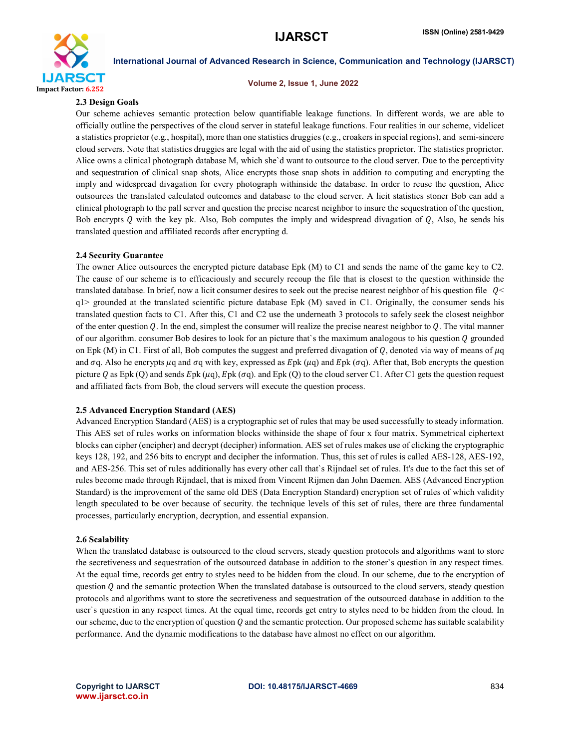

Volume 2, Issue 1, June 2022

### 2.3 Design Goals

Our scheme achieves semantic protection below quantifiable leakage functions. In different words, we are able to officially outline the perspectives of the cloud server in stateful leakage functions. Four realities in our scheme, videlicet a statistics proprietor (e.g., hospital), more than one statistics druggies (e.g., croakers in special regions), and semi-sincere cloud servers. Note that statistics druggies are legal with the aid of using the statistics proprietor. The statistics proprietor. Alice owns a clinical photograph database M, which she`d want to outsource to the cloud server. Due to the perceptivity and sequestration of clinical snap shots, Alice encrypts those snap shots in addition to computing and encrypting the imply and widespread divagation for every photograph withinside the database. In order to reuse the question, Alice outsources the translated calculated outcomes and database to the cloud server. A licit statistics stoner Bob can add a clinical photograph to the pall server and question the precise nearest neighbor to insure the sequestration of the question, Bob encrypts Q with the key pk. Also, Bob computes the imply and widespread divagation of  $Q$ , Also, he sends his translated question and affiliated records after encrypting d.

### 2.4 Security Guarantee

The owner Alice outsources the encrypted picture database Epk (M) to C1 and sends the name of the game key to C2. The cause of our scheme is to efficaciously and securely recoup the file that is closest to the question withinside the translated database. In brief, now a licit consumer desires to seek out the precise nearest neighbor of his question file  $Q<$ q1> grounded at the translated scientific picture database Epk (M) saved in C1. Originally, the consumer sends his translated question facts to C1. After this, C1 and C2 use the underneath 3 protocols to safely seek the closest neighbor of the enter question Q. In the end, simplest the consumer will realize the precise nearest neighbor to  $Q$ . The vital manner of our algorithm. consumer Bob desires to look for an picture that's the maximum analogous to his question  $Q$  grounded on Epk (M) in C1. First of all, Bob computes the suggest and preferred divagation of  $Q$ , denoted via way of means of  $\mu q$ and  $\sigma q$ . Also he encrypts  $\mu q$  and  $\sigma q$  with key, expressed as  $Epk(\mu q)$  and  $Epk(\sigma q)$ . After that, Bob encrypts the question picture Q as Epk (Q) and sends Epk ( $\mu$ q), Epk ( $\sigma$ q). and Epk (Q) to the cloud server C1. After C1 gets the question request and affiliated facts from Bob, the cloud servers will execute the question process.

### 2.5 Advanced Encryption Standard (AES)

Advanced Encryption Standard (AES) is a cryptographic set of rules that may be used successfully to steady information. This AES set of rules works on information blocks withinside the shape of four x four matrix. Symmetrical ciphertext blocks can cipher (encipher) and decrypt (decipher) information. AES set of rules makes use of clicking the cryptographic keys 128, 192, and 256 bits to encrypt and decipher the information. Thus, this set of rules is called AES-128, AES-192, and AES-256. This set of rules additionally has every other call that`s Rijndael set of rules. It's due to the fact this set of rules become made through Rijndael, that is mixed from Vincent Rijmen dan John Daemen. AES (Advanced Encryption Standard) is the improvement of the same old DES (Data Encryption Standard) encryption set of rules of which validity length speculated to be over because of security. the technique levels of this set of rules, there are three fundamental processes, particularly encryption, decryption, and essential expansion.

### 2.6 Scalability

When the translated database is outsourced to the cloud servers, steady question protocols and algorithms want to store the secretiveness and sequestration of the outsourced database in addition to the stoner`s question in any respect times. At the equal time, records get entry to styles need to be hidden from the cloud. In our scheme, due to the encryption of question  $Q$  and the semantic protection When the translated database is outsourced to the cloud servers, steady question protocols and algorithms want to store the secretiveness and sequestration of the outsourced database in addition to the user`s question in any respect times. At the equal time, records get entry to styles need to be hidden from the cloud. In our scheme, due to the encryption of question  $Q$  and the semantic protection. Our proposed scheme has suitable scalability performance. And the dynamic modifications to the database have almost no effect on our algorithm.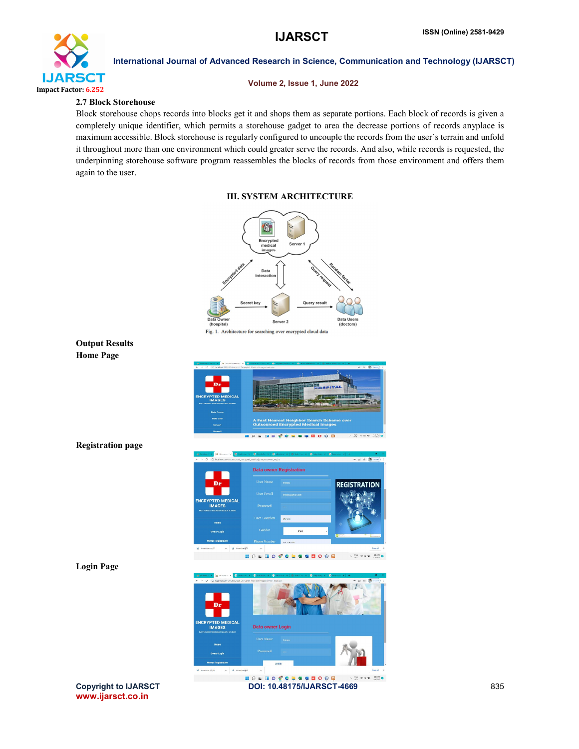

### Volume 2, Issue 1, June 2022

### 2.7 Block Storehouse

Block storehouse chops records into blocks get it and shops them as separate portions. Each block of records is given a completely unique identifier, which permits a storehouse gadget to area the decrease portions of records anyplace is maximum accessible. Block storehouse is regularly configured to uncouple the records from the user`s terrain and unfold it throughout more than one environment which could greater serve the records. And also, while records is requested, the underpinning storehouse software program reassembles the blocks of records from those environment and offers them again to the user.

### III. SYSTEM ARCHITECTURE

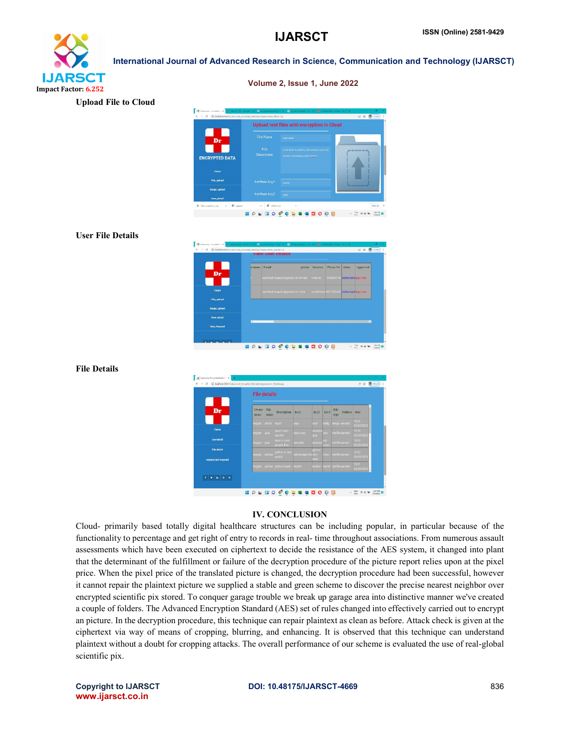# **IJARSCT** Impact Factor: 6.252

International Journal of Advanced Research in Science, Communication and Technology (IJARSCT)

Volume 2, Issue 1, June 2022

es with encryption in Cloud **YPTED DA HOLDOCCLASHOOM**  $\sim$   $\frac{2.6}{201}$   $\approx$  48 50  $\frac{120 \text{ m}}{0.2012}$  O

### User File Details

Upload File to Cloud



### File Details

|                                           |               | <b>File details</b> |                              |                    |                |             |                                |                        |
|-------------------------------------------|---------------|---------------------|------------------------------|--------------------|----------------|-------------|--------------------------------|------------------------|
| Dr                                        | Owner<br>name | File<br>пище        | <b>Description</b>           | kev1               | key2           | key3        | File<br><b>Folders</b><br>type | $\overline{a}$<br>date |
|                                           | nspom         | dsfsd regof         |                              | gegr               | esoff          | stdfg       | Image server3                  | 4.09<br>23/02/2022     |
| Home                                      | mogan java    |                     | java is very<br>use full     | basic java         | advance<br>ava | ava         | textfile server3               | 5.28<br>23/02/2021     |
| <b>Userdetail</b>                         | mogan java    |                     | java is most<br>people lifes | serverlet          | advance        | qct<br>nost | textfile server1               | 15.29<br>23/02/2021    |
| <b>File detail</b><br>request and respond | mogan python  |                     | python is very<br>useful     | advancepython very | python<br>most | most        | textfile server1               | 530<br>23/02/2022      |
|                                           |               |                     | mogan python python levels   | levels1            | levels2        | leels3      | textfile server3               | 531<br>23/02/2022<br>÷ |

### IV. CONCLUSION

Cloud- primarily based totally digital healthcare structures can be including popular, in particular because of the functionality to percentage and get right of entry to records in real- time throughout associations. From numerous assault assessments which have been executed on ciphertext to decide the resistance of the AES system, it changed into plant that the determinant of the fulfillment or failure of the decryption procedure of the picture report relies upon at the pixel price. When the pixel price of the translated picture is changed, the decryption procedure had been successful, however it cannot repair the plaintext picture we supplied a stable and green scheme to discover the precise nearest neighbor over encrypted scientific pix stored. To conquer garage trouble we break up garage area into distinctive manner we've created a couple of folders. The Advanced Encryption Standard (AES) set of rules changed into effectively carried out to encrypt an picture. In the decryption procedure, this technique can repair plaintext as clean as before. Attack check is given at the ciphertext via way of means of cropping, blurring, and enhancing. It is observed that this technique can understand plaintext without a doubt for cropping attacks. The overall performance of our scheme is evaluated the use of real-global scientific pix.